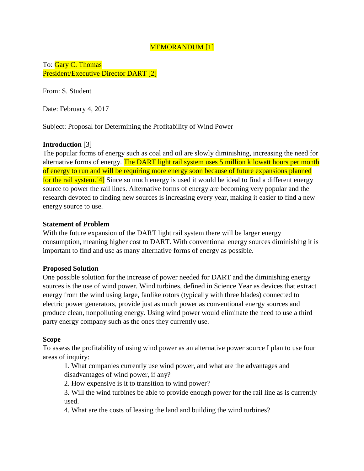# MEMORANDUM [1]

To: Gary C. Thomas President/Executive Director DART [2]

From: S. Student

Date: February 4, 2017

Subject: Proposal for Determining the Profitability of Wind Power

# **Introduction** [3]

The popular forms of energy such as coal and oil are slowly diminishing, increasing the need for alternative forms of energy. The DART light rail system uses 5 million kilowatt hours per month of energy to run and will be requiring more energy soon because of future expansions planned for the rail system.<sup>[4]</sup> Since so much energy is used it would be ideal to find a different energy source to power the rail lines. Alternative forms of energy are becoming very popular and the research devoted to finding new sources is increasing every year, making it easier to find a new energy source to use.

## **Statement of Problem**

With the future expansion of the DART light rail system there will be larger energy consumption, meaning higher cost to DART. With conventional energy sources diminishing it is important to find and use as many alternative forms of energy as possible.

#### **Proposed Solution**

One possible solution for the increase of power needed for DART and the diminishing energy sources is the use of wind power. Wind turbines, defined in Science Year as devices that extract energy from the wind using large, fanlike rotors (typically with three blades) connected to electric power generators, provide just as much power as conventional energy sources and produce clean, nonpolluting energy. Using wind power would eliminate the need to use a third party energy company such as the ones they currently use.

#### **Scope**

To assess the profitability of using wind power as an alternative power source I plan to use four areas of inquiry:

1. What companies currently use wind power, and what are the advantages and disadvantages of wind power, if any?

2. How expensive is it to transition to wind power?

3. Will the wind turbines be able to provide enough power for the rail line as is currently used.

4. What are the costs of leasing the land and building the wind turbines?